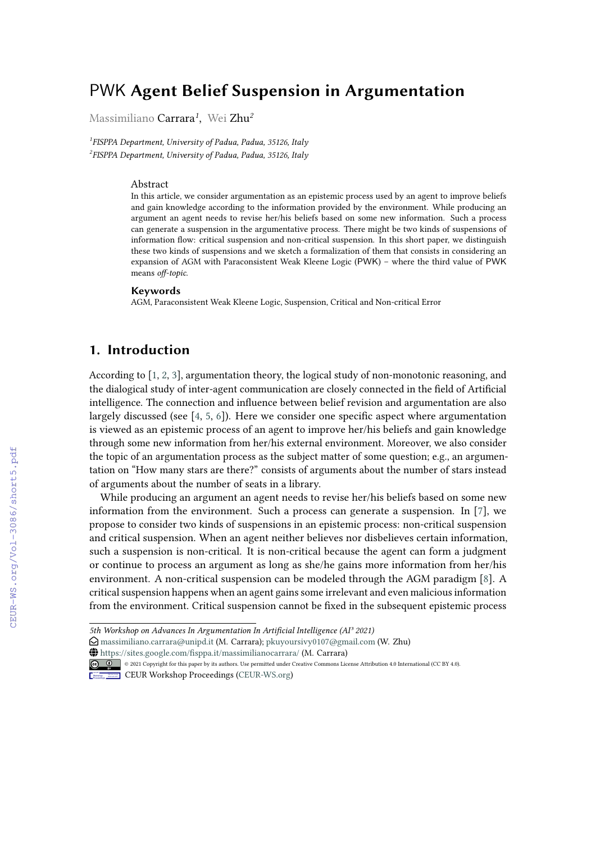# PWK **Agent Belief Suspension in Argumentation**

Massimiliano Carrara*<sup>1</sup>* , Wei Zhu*<sup>2</sup>*

*1 FISPPA Department, University of Padua, Padua, 35126, Italy 2 FISPPA Department, University of Padua, Padua, 35126, Italy*

#### Abstract

In this article, we consider argumentation as an epistemic process used by an agent to improve beliefs and gain knowledge according to the information provided by the environment. While producing an argument an agent needs to revise her/his beliefs based on some new information. Such a process can generate a suspension in the argumentative process. There might be two kinds of suspensions of information flow: critical suspension and non-critical suspension. In this short paper, we distinguish these two kinds of suspensions and we sketch a formalization of them that consists in considering an expansion of AGM with Paraconsistent Weak Kleene Logic (PWK) – where the third value of PWK means *off-topic*.

#### **Keywords**

AGM, Paraconsistent Weak Kleene Logic, Suspension, Critical and Non-critical Error

## **1. Introduction**

According to [\[1,](#page--1-0) [2,](#page--1-1) [3\]](#page--1-2), argumentation theory, the logical study of non-monotonic reasoning, and the dialogical study of inter-agent communication are closely connected in the field of Artificial intelligence. The connection and influence between belief revision and argumentation are also largely discussed (see [\[4,](#page--1-3) [5,](#page--1-4) [6\]](#page--1-5)). Here we consider one specific aspect where argumentation is viewed as an epistemic process of an agent to improve her/his beliefs and gain knowledge through some new information from her/his external environment. Moreover, we also consider the topic of an argumentation process as the subject matter of some question; e.g., an argumentation on "How many stars are there?" consists of arguments about the number of stars instead of arguments about the number of seats in a library.

While producing an argument an agent needs to revise her/his beliefs based on some new information from the environment. Such a process can generate a suspension. In [\[7\]](#page--1-6), we propose to consider two kinds of suspensions in an epistemic process: non-critical suspension and critical suspension. When an agent neither believes nor disbelieves certain information, such a suspension is non-critical. It is non-critical because the agent can form a judgment or continue to process an argument as long as she/he gains more information from her/his environment. A non-critical suspension can be modeled through the AGM paradigm [\[8\]](#page--1-7). A critical suspension happens when an agent gains some irrelevant and even malicious information from the environment. Critical suspension cannot be fixed in the subsequent epistemic process

~ <https://sites.google.com/fisppa.it/massimilianocarrara/> (M. Carrara)

**CEUR Workshop [Proceedings](http://ceur-ws.org) [\(CEUR-WS.org\)](http://ceur-ws.org)** 

*<sup>5</sup>th Workshop on Advances In Argumentation In Artificial Intelligence (AI³ 2021)*

 $\Theta$  [massimiliano.carrara@unipd.it](mailto:massimiliano.carrara@unipd.it) (M. Carrara); [pkuyoursivy0107@gmail.com](mailto:pkuyoursivy0107@gmail.com) (W. Zhu)

<sup>©</sup> 2021 Copyright for this paper by its authors. Use permitted under Creative Commons License Attribution 4.0 International (CC BY 4.0).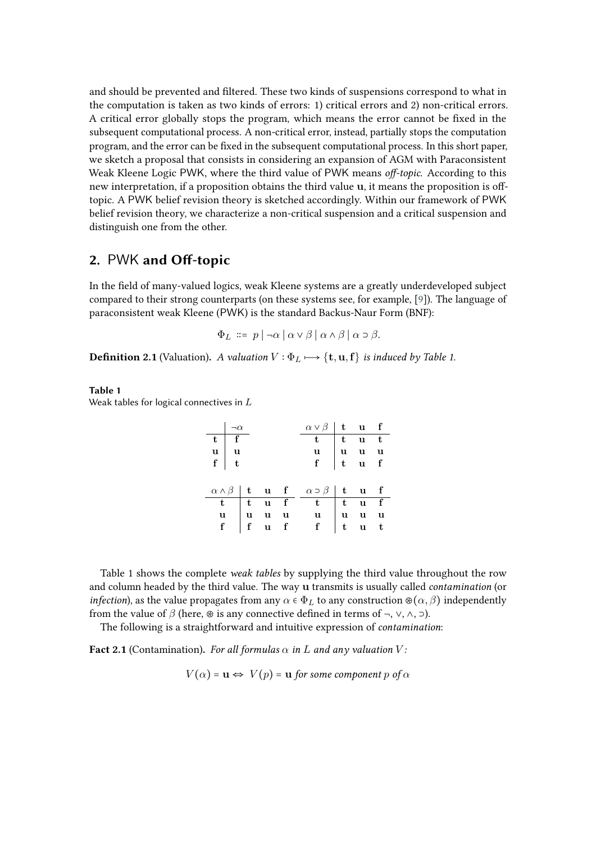and should be prevented and filtered. These two kinds of suspensions correspond to what in the computation is taken as two kinds of errors: 1) critical errors and 2) non-critical errors. A critical error globally stops the program, which means the error cannot be fixed in the subsequent computational process. A non-critical error, instead, partially stops the computation program, and the error can be fixed in the subsequent computational process. In this short paper, we sketch a proposal that consists in considering an expansion of AGM with Paraconsistent Weak Kleene Logic PWK, where the third value of PWK means *off-topic*. According to this new interpretation, if a proposition obtains the third value u, it means the proposition is offtopic. A PWK belief revision theory is sketched accordingly. Within our framework of PWK belief revision theory, we characterize a non-critical suspension and a critical suspension and distinguish one from the other.

# **2.** PWK **and Off-topic**

In the field of many-valued logics, weak Kleene systems are a greatly underdeveloped subject compared to their strong counterparts (on these systems see, for example, [\[9\]](#page-5-0)). The language of paraconsistent weak Kleene (PWK) is the standard Backus-Naur Form (BNF):

$$
\Phi_L \ ::= \ p \mid \neg \alpha \mid \alpha \vee \beta \mid \alpha \wedge \beta \mid \alpha \supset \beta.
$$

**Definition 2.1** (Valuation). *A valuation*  $V : \Phi_L \mapsto {\mathbf{t}, \mathbf{u}, \mathbf{f}}$  *is induced by Table 1.* 

#### **Table 1**

Weak tables for logical connectives in  $L$ 

|                                                                    | $\neg \alpha$ |  | $\alpha \vee \beta$ t u f                                                                                                                                                                                                    |  |  |
|--------------------------------------------------------------------|---------------|--|------------------------------------------------------------------------------------------------------------------------------------------------------------------------------------------------------------------------------|--|--|
| $\begin{array}{c c}\n\hline\nt & f \\ u & u \\ f & t\n\end{array}$ |               |  | $\begin{array}{c cccc} \hline t & t & u & t \\ u & u & u & u \\ f & t & u & f \end{array}$                                                                                                                                   |  |  |
|                                                                    |               |  |                                                                                                                                                                                                                              |  |  |
|                                                                    |               |  |                                                                                                                                                                                                                              |  |  |
|                                                                    |               |  |                                                                                                                                                                                                                              |  |  |
|                                                                    |               |  | $\begin{array}{c cccc cccc}\hline \alpha \wedge \beta & t & u & f & \alpha \supset \beta & t & u & f\\ \hline t & t & u & f & t & t & u & f\\ u & u & u & u & u & u & u\\ f & f & u & f & f & t & u & t\\ \hline\end{array}$ |  |  |
|                                                                    |               |  |                                                                                                                                                                                                                              |  |  |
|                                                                    |               |  |                                                                                                                                                                                                                              |  |  |
|                                                                    |               |  |                                                                                                                                                                                                                              |  |  |

Table 1 shows the complete *weak tables* by supplying the third value throughout the row and column headed by the third value. The way u transmits is usually called *contamination* (or *infection*), as the value propagates from any  $\alpha \in \Phi_L$  to any construction  $\mathcal{D}(\alpha, \beta)$  independently from the value of  $\beta$  (here,  $\circledast$  is any connective defined in terms of  $\neg$ ,  $\vee$ ,  $\wedge$ ,  $\neg$ ).

The following is a straightforward and intuitive expression of *contamination*:

**Fact 2.1** (Contamination). For all formulas  $\alpha$  in  $L$  and any valuation  $V$ :

 $V(\alpha) = \mathbf{u} \Leftrightarrow V(p) = \mathbf{u}$  *for some component p of*  $\alpha$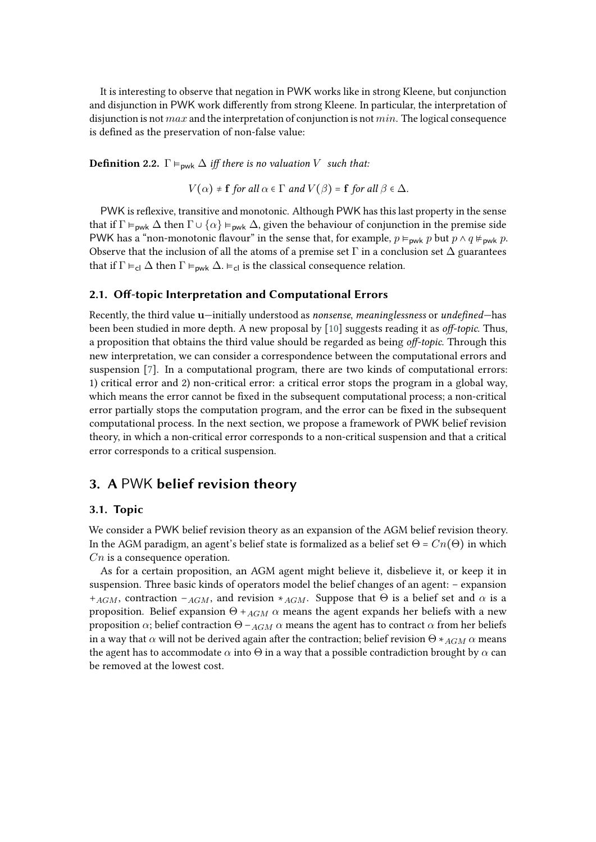It is interesting to observe that negation in PWK works like in strong Kleene, but conjunction and disjunction in PWK work differently from strong Kleene. In particular, the interpretation of disjunction is not  $max$  and the interpretation of conjunction is not  $min$ . The logical consequence is defined as the preservation of non-false value:

**Definition 2.2.**  $\Gamma \models_{\text{pwk}} \Delta$  *iff there is no valuation V such that:* 

 $V(\alpha) \neq f$  *for all*  $\alpha \in \Gamma$  *and*  $V(\beta) = f$  *for all*  $\beta \in \Delta$ *.* 

PWK is reflexive, transitive and monotonic. Although PWK has this last property in the sense that if  $\Gamma \vDash_{\text{pwk}} \Delta$  then  $\Gamma \cup \{\alpha\} \vDash_{\text{pwk}} \Delta$ , given the behaviour of conjunction in the premise side PWK has a "non-monotonic flavour" in the sense that, for example,  $p \vDash_{\text{pwk}} p$  but  $p \wedge q \nvDash_{\text{pwk}} p$ . Observe that the inclusion of all the atoms of a premise set  $\Gamma$  in a conclusion set  $\Delta$  guarantees that if  $\Gamma \vDash_{\text{cl}} \Delta$  then  $\Gamma \vDash_{\text{pwk}} \Delta$ .  $\vDash_{\text{cl}}$  is the classical consequence relation.

#### **2.1. Off-topic Interpretation and Computational Errors**

Recently, the third value u—initially understood as *nonsense*, *meaninglessness* or *undefined*—has been been studied in more depth. A new proposal by [\[10\]](#page-5-1) suggests reading it as *off-topic*. Thus, a proposition that obtains the third value should be regarded as being *off-topic*. Through this new interpretation, we can consider a correspondence between the computational errors and suspension [\[7\]](#page-5-2). In a computational program, there are two kinds of computational errors: 1) critical error and 2) non-critical error: a critical error stops the program in a global way, which means the error cannot be fixed in the subsequent computational process; a non-critical error partially stops the computation program, and the error can be fixed in the subsequent computational process. In the next section, we propose a framework of PWK belief revision theory, in which a non-critical error corresponds to a non-critical suspension and that a critical error corresponds to a critical suspension.

### **3. A** PWK **belief revision theory**

### **3.1. Topic**

We consider a PWK belief revision theory as an expansion of the AGM belief revision theory. In the AGM paradigm, an agent's belief state is formalized as a belief set  $\Theta = Cn(\Theta)$  in which  $Cn$  is a consequence operation.

As for a certain proposition, an AGM agent might believe it, disbelieve it, or keep it in suspension. Three basic kinds of operators model the belief changes of an agent: – expansion + $_{AGM}$ , contraction – $_{AGM}$ , and revision  $*_{AGM}$ . Suppose that  $\Theta$  is a belief set and  $\alpha$  is a proposition. Belief expansion  $Θ +_{AGM} α$  means the agent expands her beliefs with a new proposition  $\alpha$ ; belief contraction Θ −  $_{AGM}$   $\alpha$  means the agent has to contract  $\alpha$  from her beliefs in a way that  $\alpha$  will not be derived again after the contraction; belief revision  $\Theta *_{AGM} \alpha$  means the agent has to accommodate  $\alpha$  into  $\Theta$  in a way that a possible contradiction brought by  $\alpha$  can be removed at the lowest cost.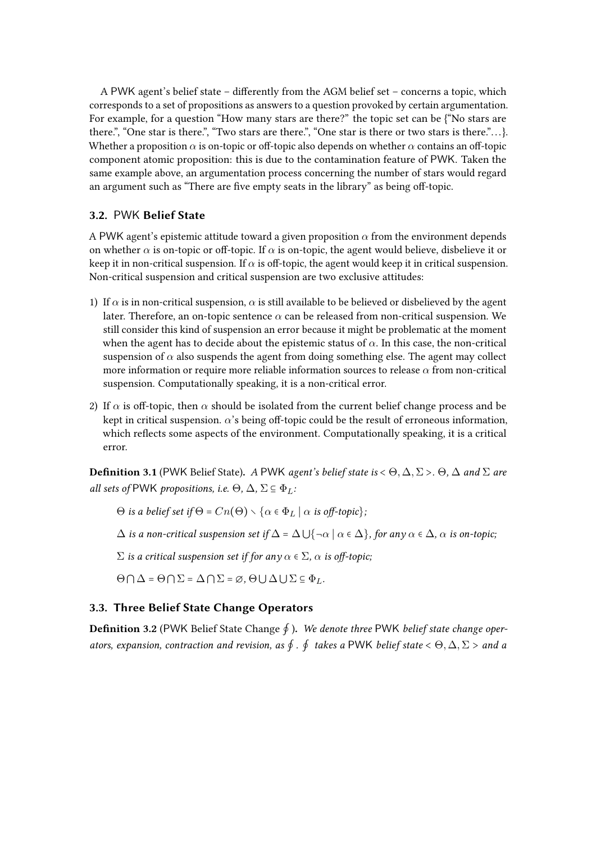A PWK agent's belief state – differently from the AGM belief set – concerns a topic, which corresponds to a set of propositions as answers to a question provoked by certain argumentation. For example, for a question "How many stars are there?" the topic set can be {"No stars are there.", "One star is there.", "Two stars are there.", "One star is there or two stars is there."... $\}$ . Whether a proposition  $\alpha$  is on-topic or off-topic also depends on whether  $\alpha$  contains an off-topic component atomic proposition: this is due to the contamination feature of PWK. Taken the same example above, an argumentation process concerning the number of stars would regard an argument such as "There are five empty seats in the library" as being off-topic.

### **3.2.** PWK **Belief State**

A PWK agent's epistemic attitude toward a given proposition  $\alpha$  from the environment depends on whether  $\alpha$  is on-topic or off-topic. If  $\alpha$  is on-topic, the agent would believe, disbelieve it or keep it in non-critical suspension. If  $\alpha$  is off-topic, the agent would keep it in critical suspension. Non-critical suspension and critical suspension are two exclusive attitudes:

- 1) If  $\alpha$  is in non-critical suspension,  $\alpha$  is still available to be believed or disbelieved by the agent later. Therefore, an on-topic sentence  $\alpha$  can be released from non-critical suspension. We still consider this kind of suspension an error because it might be problematic at the moment when the agent has to decide about the epistemic status of  $\alpha$ . In this case, the non-critical suspension of  $\alpha$  also suspends the agent from doing something else. The agent may collect more information or require more reliable information sources to release  $\alpha$  from non-critical suspension. Computationally speaking, it is a non-critical error.
- 2) If  $\alpha$  is off-topic, then  $\alpha$  should be isolated from the current belief change process and be kept in critical suspension.  $\alpha$ 's being off-topic could be the result of erroneous information, which reflects some aspects of the environment. Computationally speaking, it is a critical error.

**Definition 3.1** (PWK Belief State). *A* PWK *agent's belief state is* <  $\Theta$ ,  $\Delta$ ,  $\Sigma$  >*.*  $\Theta$ ,  $\Delta$  *and*  $\Sigma$  *are all sets of* PWK *propositions, i.e.*  $\Theta$ ,  $\Delta$ ,  $\Sigma \subseteq \Phi$ *<sub>L</sub>*:

Θ *is a belief set if*  $Θ = Cn(Θ) \setminus \{α \in Φ_L \mid α \text{ is off-topic}\};$ 

 $\Delta$  *is a non-critical suspension set if*  $\Delta = \Delta \bigcup {\neg \alpha \mid \alpha \in \Delta}$ *, for any*  $\alpha \in \Delta$ *,*  $\alpha$  *is on-topic;* 

 $Σ$  *is a critical suspension set if for any*  $α ∈ Σ$ *, α is off-topic;* 

 $\Theta \cap \Delta = \Theta \cap \Sigma = \Delta \cap \Sigma = \emptyset$ ,  $\Theta \cup \Delta \cup \Sigma \subseteq \Phi_L$ .

### **3.3. Three Belief State Change Operators**

**Definition 3.2** (PWK Belief State Change ∮ )**.** *We denote three* PWK *belief state change operators, expansion, contraction and revision, as* ∮ *.* ∮ *takes a* PWK *belief state* < Θ, ∆, Σ > *and a*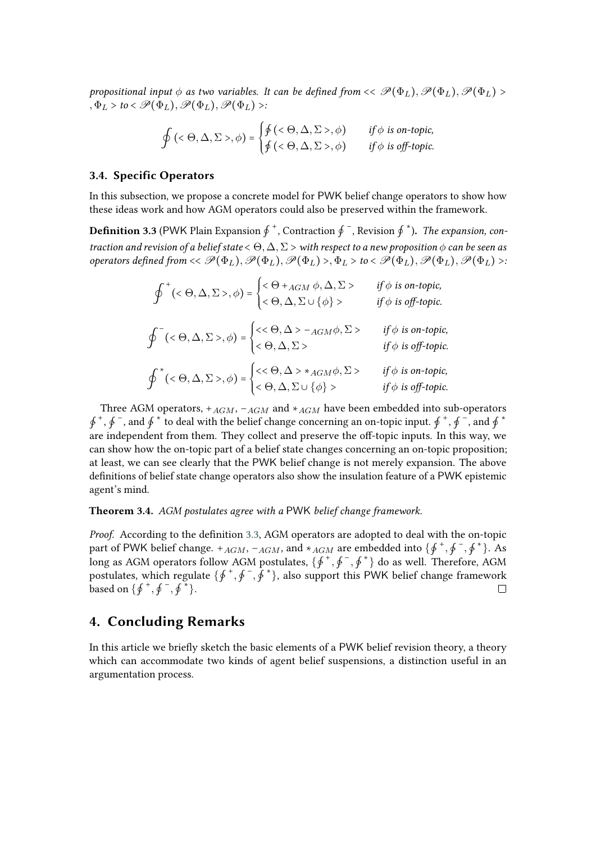*propositional input*  $\phi$  *as two variables. It can be defined from*  $\langle \mathcal{P}(\Phi_L), \mathcal{P}(\Phi_L), \mathcal{P}(\Phi_L) \rangle$  $, \Phi_L > t_0 < \mathscr{P}(\Phi_L), \mathscr{P}(\Phi_L), \mathscr{P}(\Phi_L) >:$ 

$$
\oint (\langle \Theta, \Delta, \Sigma \rangle, \phi) = \begin{cases} \oint (\langle \Theta, \Delta, \Sigma \rangle, \phi) & \text{if } \phi \text{ is on-topic,} \\ \oint (\langle \Theta, \Delta, \Sigma \rangle, \phi) & \text{if } \phi \text{ is off-topic.} \end{cases}
$$

#### **3.4. Specific Operators**

In this subsection, we propose a concrete model for PWK belief change operators to show how these ideas work and how AGM operators could also be preserved within the framework.

<span id="page-4-0"></span>**Definition 3.3** (PWK Plain Expansion  $\oint$  <sup>+</sup>, Contraction  $\oint$  <sup>−</sup>, Revision  $\oint$  \*). *The expansion, contraction and revision of a belief state* < Θ, ∆, Σ > *with respect to a new proposition can be seen as operators defined from*  $<<$   $\mathscr{P}(\Phi_L)$ ,  $\mathscr{P}(\Phi_L)$ ,  $\mathscr{P}(\Phi_L)$ ,  $\Phi_L$ ,  $>$   $to$   $<$   $\mathscr{P}(\Phi_L)$ ,  $\mathscr{P}(\Phi_L)$ ,  $\mathscr{P}(\Phi_L)$ ,  $\mathscr{P}(\Phi_L)$ 

| $\oint^+ (<\Theta, \Delta, \Sigma>, \phi) = \begin{cases} <\Theta +_{AGM} \phi, \Delta, \Sigma> \\ <\Theta, \Delta, \Sigma \cup \{\phi\} > \end{cases}$   | if $\phi$ is on-topic,<br>if $\phi$ is off-topic. |
|-----------------------------------------------------------------------------------------------------------------------------------------------------------|---------------------------------------------------|
| $\oint^-(<\Theta, \Delta, \Sigma>, \phi) = \begin{cases} <<\Theta, \Delta > -_{AGM}\phi, \Sigma > \\ <\Theta, \Delta, \Sigma > \end{cases}$               | if $\phi$ is on-topic,<br>if $\phi$ is off-topic. |
| $\oint^*(<\Theta, \Delta, \Sigma>, \phi) = \begin{cases} <<\Theta, \Delta > *_{AGM}\phi, \Sigma > \\ <\Theta, \Delta, \Sigma \cup \{\phi\} > \end{cases}$ | if $\phi$ is on-topic,<br>if $\phi$ is off-topic. |

Three AGM operators,  $+_{AGM}$ ,  $-_{AGM}$  and  $*_{AGM}$  have been embedded into sub-operators  $\oint^+, \oint^-$ , and  $\oint^+$  to deal with the belief change concerning an on-topic input.  $\oint^+, \oint^-$ , and  $\oint^+$ are independent from them. They collect and preserve the off-topic inputs. In this way, we can show how the on-topic part of a belief state changes concerning an on-topic proposition; at least, we can see clearly that the PWK belief change is not merely expansion. The above definitions of belief state change operators also show the insulation feature of a PWK epistemic agent's mind.

**Theorem 3.4.** *AGM postulates agree with a* PWK *belief change framework.*

*Proof.* According to the definition [3.3,](#page-4-0) AGM operators are adopted to deal with the on-topic part of PWK belief change.  $+_{AGM}$ ,  $-_{AGM}$ , and  $*_{AGM}$  are embedded into  $\{\oint^+, \oint^-, \oint^*\}$ . As long as AGM operators follow AGM postulates,  $\{\oint^+, \oint^-, \oint^* \}$  do as well. Therefore, AGM postulates, which regulate  $\{\oint^+, \oint^-, \hat{f}^*\}$ , also support this PWK belief change framework based on  $\{ \oint^+, \oint^-, \oint^* \}.$  $\Box$ 

### **4. Concluding Remarks**

In this article we briefly sketch the basic elements of a PWK belief revision theory, a theory which can accommodate two kinds of agent belief suspensions, a distinction useful in an argumentation process.